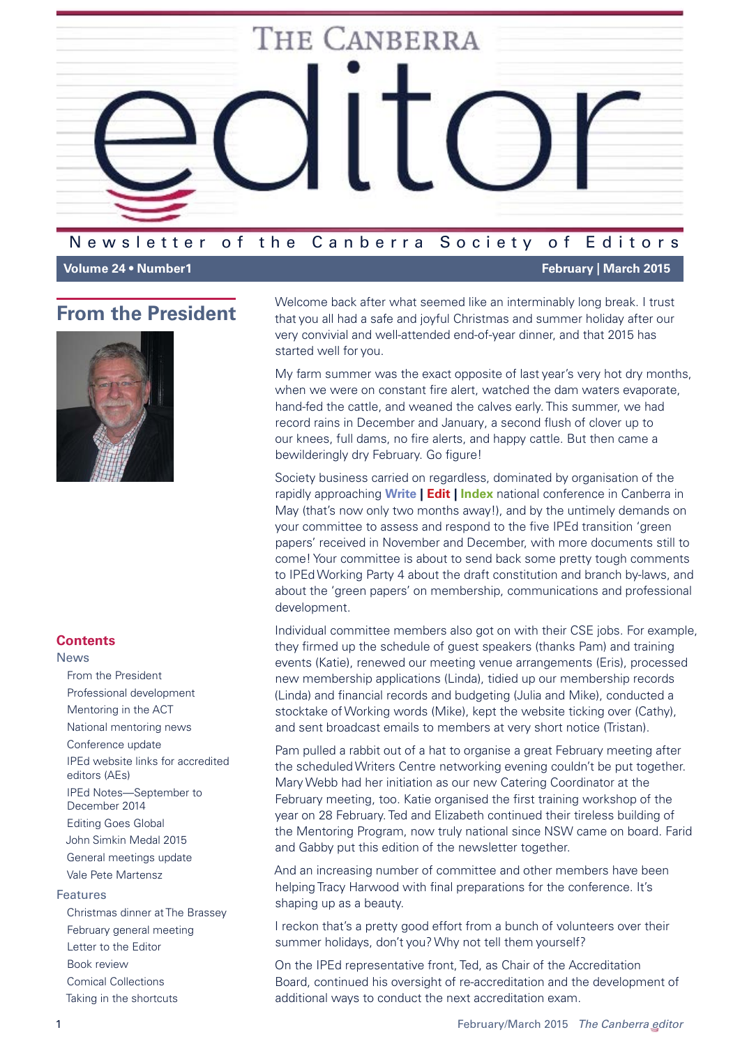

### Newsletter of the Canberra Society of Editors

### **Volume 24 • Number1 February** | **March 2015**

# <span id="page-0-0"></span>**From the President**



### **Contents**

### News

[From the President](#page-0-0) [Professional development](#page-1-0) [Mentoring in the ACT](#page-2-0) [National mentoring news](#page-2-1) [Conference update](#page-3-0) [IPEd website links for accredited](#page-4-0)  [editors \(AEs\)](#page-4-0) [IPEd Notes—September to](#page-4-1)  [December 2014](#page-4-1) [Editing Goes Global](#page-6-0) [John Simkin Medal 2015](#page-6-1) [General meetings update](#page-7-0) [Vale Pete Martensz](#page-7-1)

### Features

[Christmas dinner at The Brassey](#page-8-0) [February general meeting](#page-9-0) [Letter to the Editor](#page-10-0) [Book review](#page-11-0) Comical Collections [Taking in the shortcuts](#page-12-0)

Welcome back after what seemed like an interminably long break. I trust that you all had a safe and joyful Christmas and summer holiday after our very convivial and well-attended end-of-year dinner, and that 2015 has started well for you.

My farm summer was the exact opposite of last year's very hot dry months, when we were on constant fire alert, watched the dam waters evaporate, hand-fed the cattle, and weaned the calves early. This summer, we had record rains in December and January, a second flush of clover up to our knees, full dams, no fire alerts, and happy cattle. But then came a bewilderingly dry February. Go figure!

Society business carried on regardless, dominated by organisation of the rapidly approaching **Write | Edit | Index** national conference in Canberra in May (that's now only two months away!), and by the untimely demands on your committee to assess and respond to the five IPEd transition 'green papers' received in November and December, with more documents still to come! Your committee is about to send back some pretty tough comments to IPEd Working Party 4 about the draft constitution and branch by-laws, and about the 'green papers' on membership, communications and professional development.

Individual committee members also got on with their CSE jobs. For example, they firmed up the schedule of guest speakers (thanks Pam) and training events (Katie), renewed our meeting venue arrangements (Eris), processed new membership applications (Linda), tidied up our membership records (Linda) and financial records and budgeting (Julia and Mike), conducted a stocktake of Working words (Mike), kept the website ticking over (Cathy), and sent broadcast emails to members at very short notice (Tristan).

Pam pulled a rabbit out of a hat to organise a great February meeting after the scheduled Writers Centre networking evening couldn't be put together. Mary Webb had her initiation as our new Catering Coordinator at the February meeting, too. Katie organised the first training workshop of the year on 28 February. Ted and Elizabeth continued their tireless building of the Mentoring Program, now truly national since NSW came on board. Farid and Gabby put this edition of the newsletter together.

And an increasing number of committee and other members have been helping Tracy Harwood with final preparations for the conference. It's shaping up as a beauty.

I reckon that's a pretty good effort from a bunch of volunteers over their summer holidays, don't you? Why not tell them yourself?

On the IPEd representative front, Ted, as Chair of the Accreditation Board, continued his oversight of re-accreditation and the development of additional ways to conduct the next accreditation exam.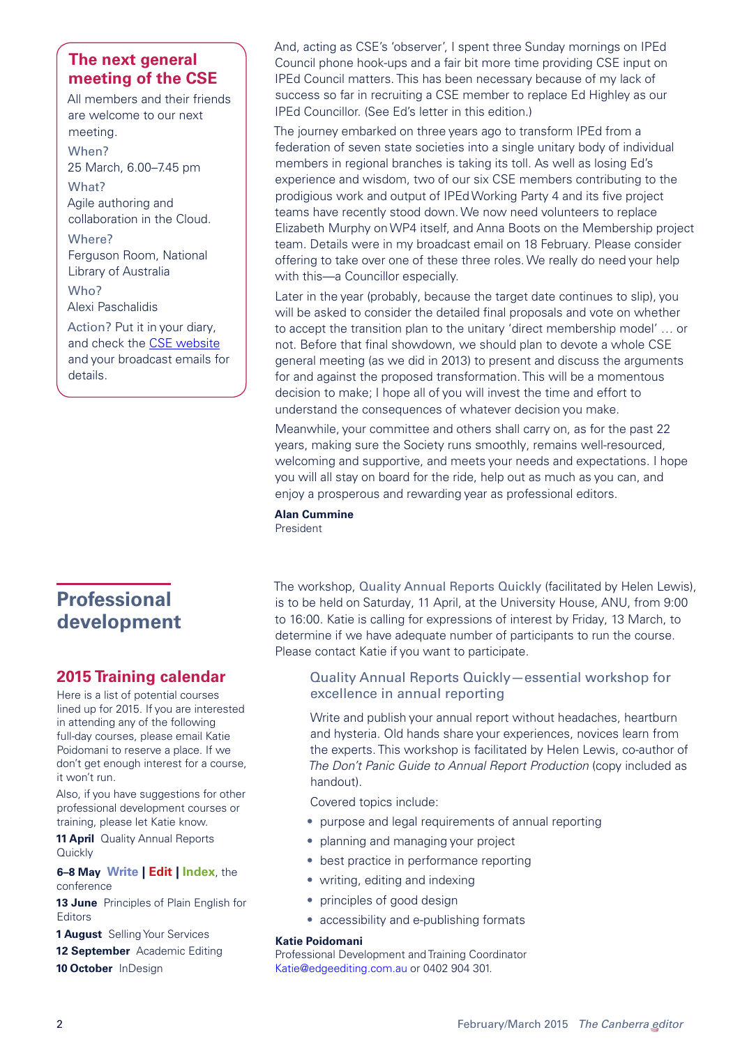# **The next general meeting of the CSE**

All members and their friends are welcome to our next meeting. When? 25 March, 6.00–7.45 pm What? Agile authoring and collaboration in the Cloud. Where? Ferguson Room, National Library of Australia Who? Alexi Paschalidis Action? Put it in your diary, and check the [CSE website](http://www.editorscanberra.org/) and your broadcast emails for details.

# <span id="page-1-0"></span>**Professional development**

# **2015 Training calendar**

Here is a list of potential courses lined up for 2015. If you are interested in attending any of the following full-day courses, please email Katie Poidomani to reserve a place. If we don't get enough interest for a course, it won't run.

Also, if you have suggestions for other professional development courses or training, please let Katie know.

**11 April** Quality Annual Reports **Quickly** 

**6–8 May Write | Edit | Index**, the conference

**13 June** Principles of Plain English for Editors

**1 August** Selling Your Services

**12 September** Academic Editing

**10 October** InDesign

And, acting as CSE's 'observer', I spent three Sunday mornings on IPEd Council phone hook-ups and a fair bit more time providing CSE input on IPEd Council matters. This has been necessary because of my lack of success so far in recruiting a CSE member to replace Ed Highley as our IPEd Councillor. (See Ed's letter in this edition.)

The journey embarked on three years ago to transform IPEd from a federation of seven state societies into a single unitary body of individual members in regional branches is taking its toll. As well as losing Ed's experience and wisdom, two of our six CSE members contributing to the prodigious work and output of IPEd Working Party 4 and its five project teams have recently stood down. We now need volunteers to replace Elizabeth Murphy on WP4 itself, and Anna Boots on the Membership project team. Details were in my broadcast email on 18 February. Please consider offering to take over one of these three roles. We really do need your help with this—a Councillor especially.

Later in the year (probably, because the target date continues to slip), you will be asked to consider the detailed final proposals and vote on whether to accept the transition plan to the unitary 'direct membership model' … or not. Before that final showdown, we should plan to devote a whole CSE general meeting (as we did in 2013) to present and discuss the arguments for and against the proposed transformation. This will be a momentous decision to make; I hope all of you will invest the time and effort to understand the consequences of whatever decision you make.

Meanwhile, your committee and others shall carry on, as for the past 22 years, making sure the Society runs smoothly, remains well-resourced, welcoming and supportive, and meets your needs and expectations. I hope you will all stay on board for the ride, help out as much as you can, and enjoy a prosperous and rewarding year as professional editors.

**Alan Cummine** President

The workshop, Quality Annual Reports Quickly (facilitated by Helen Lewis), is to be held on Saturday, 11 April, at the University House, ANU, from 9:00 to 16:00. Katie is calling for expressions of interest by Friday, 13 March, to determine if we have adequate number of participants to run the course. Please contact Katie if you want to participate.

### Quality Annual Reports Quickly—essential workshop for excellence in annual reporting

Write and publish your annual report without headaches, heartburn and hysteria. Old hands share your experiences, novices learn from the experts. This workshop is facilitated by Helen Lewis, co-author of *The Don't Panic Guide to Annual Report Production* (copy included as handout).

Covered topics include:

- purpose and legal requirements of annual reporting
- planning and managing your project
- best practice in performance reporting
- writing, editing and indexing
- principles of good design
- accessibility and e-publishing formats

### **Katie Poidomani**

Professional Development and Training Coordinator [Katie@edgeediting.com.au](mailto:Katie@edgeediting.com.au) or 0402 904 301.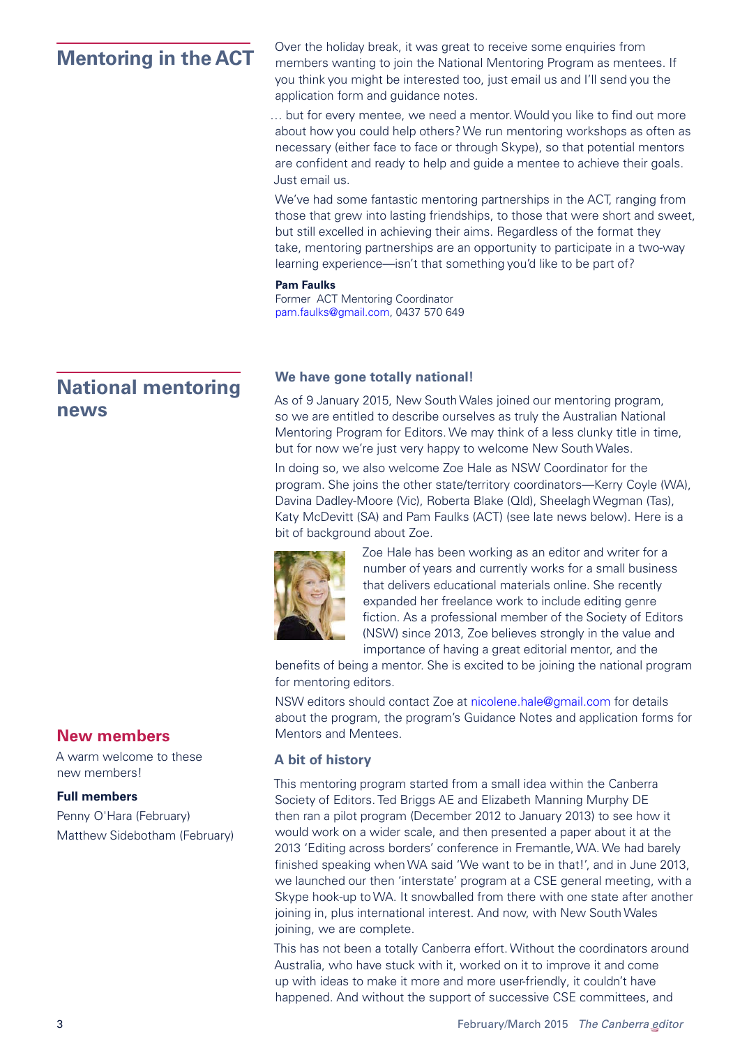# <span id="page-2-1"></span>**National mentoring news**

# **New members**

A warm welcome to these new members!

### **Full members**

Penny O'Hara (February) Matthew Sidebotham (February)

<span id="page-2-0"></span>**Mentoring in the ACT** Over the holiday break, it was great to receive some enquiries from<br>Mentoring in the ACT members wanting to join the National Mentoring Program as mentees. If you think you might be interested too, just email us and I'll send you the application form and guidance notes.

> … but for every mentee, we need a mentor. Would you like to find out more about how you could help others? We run mentoring workshops as often as necessary (either face to face or through Skype), so that potential mentors are confident and ready to help and guide a mentee to achieve their goals. Just email us.

> We've had some fantastic mentoring partnerships in the ACT, ranging from those that grew into lasting friendships, to those that were short and sweet, but still excelled in achieving their aims. Regardless of the format they take, mentoring partnerships are an opportunity to participate in a two-way learning experience—isn't that something you'd like to be part of?

### **Pam Faulks**

Former ACT Mentoring Coordinator [pam.faulks@gmail.com,](mailto:pam.faulks%40gmail.com?subject=) 0437 570 649

### **We have gone totally national!**

As of 9 January 2015, New South Wales joined our mentoring program, so we are entitled to describe ourselves as truly the Australian National Mentoring Program for Editors. We may think of a less clunky title in time, but for now we're just very happy to welcome New South Wales.

In doing so, we also welcome Zoe Hale as NSW Coordinator for the program. She joins the other state/territory coordinators—Kerry Coyle (WA), Davina Dadley-Moore (Vic), Roberta Blake (Qld), Sheelagh Wegman (Tas), Katy McDevitt (SA) and Pam Faulks (ACT) (see late news below). Here is a bit of background about Zoe.



Zoe Hale has been working as an editor and writer for a number of years and currently works for a small business that delivers educational materials online. She recently expanded her freelance work to include editing genre fiction. As a professional member of the Society of Editors (NSW) since 2013, Zoe believes strongly in the value and importance of having a great editorial mentor, and the

benefits of being a mentor. She is excited to be joining the national program for mentoring editors.

NSW editors should contact Zoe at [nicolene.hale@gmail.com](mailto:nicolene.hale@gmail.com) for details about the program, the program's Guidance Notes and application forms for Mentors and Mentees.

### **A bit of history**

This mentoring program started from a small idea within the Canberra Society of Editors. Ted Briggs AE and Elizabeth Manning Murphy DE then ran a pilot program (December 2012 to January 2013) to see how it would work on a wider scale, and then presented a paper about it at the 2013 'Editing across borders' conference in Fremantle, WA. We had barely finished speaking when WA said 'We want to be in that!', and in June 2013, we launched our then 'interstate' program at a CSE general meeting, with a Skype hook-up to WA. It snowballed from there with one state after another joining in, plus international interest. And now, with New South Wales joining, we are complete.

This has not been a totally Canberra effort. Without the coordinators around Australia, who have stuck with it, worked on it to improve it and come up with ideas to make it more and more user-friendly, it couldn't have happened. And without the support of successive CSE committees, and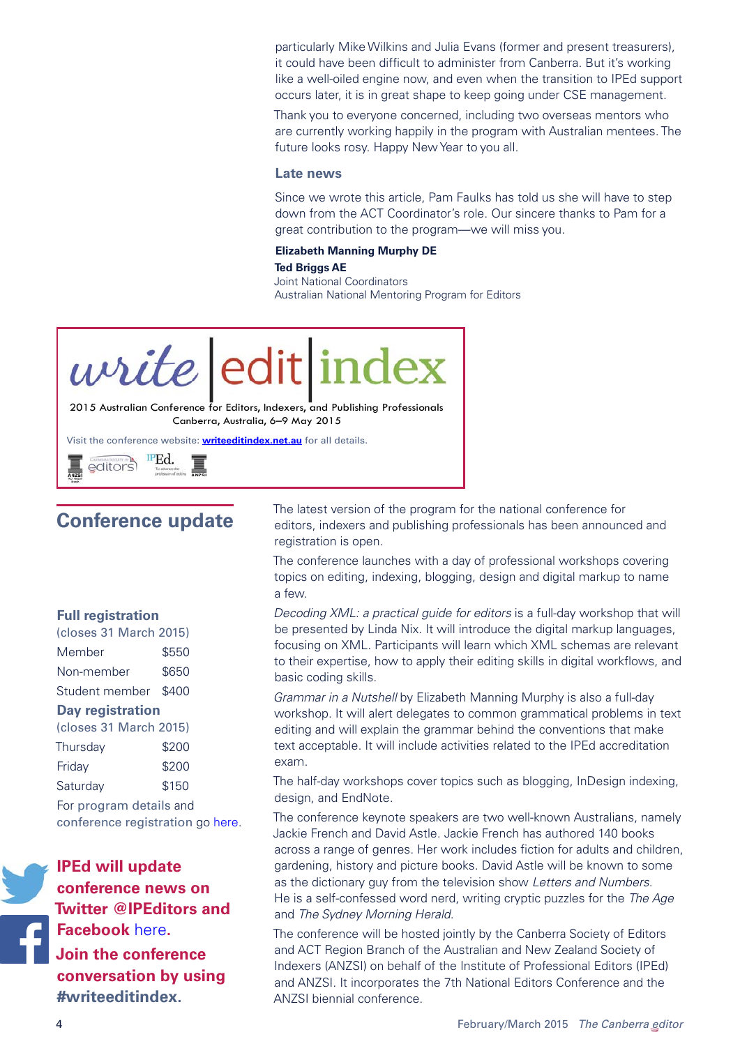particularly Mike Wilkins and Julia Evans (former and present treasurers), it could have been difficult to administer from Canberra. But it's working like a well-oiled engine now, and even when the transition to IPEd support occurs later, it is in great shape to keep going under CSE management.

Thank you to everyone concerned, including two overseas mentors who are currently working happily in the program with Australian mentees. The future looks rosy. Happy New Year to you all.

### **Late news**

Since we wrote this article, Pam Faulks has told us she will have to step down from the ACT Coordinator's role. Our sincere thanks to Pam for a great contribution to the program—we will miss you.

### **Elizabeth Manning Murphy DE**

**Ted Briggs AE** Joint National Coordinators Australian National Mentoring Program for Editors

# *urite* edi

2015 Australian Conference for Editors, Indexers, and Publishing Professionals Canberra, Australia, 6–9 May 2015

Visit the conference website: **[writeeditindex.net.au](http://writeeditindex.net.au)** for all details.

 $P_{\rm Edd}$ editors

# <span id="page-3-0"></span>**Conference update**

### **Full registration**

| (closes 31 March 2015)  |       |  |  |
|-------------------------|-------|--|--|
| Member                  | \$550 |  |  |
| Non-member              | \$650 |  |  |
| Student member \$400    |       |  |  |
| <b>Day registration</b> |       |  |  |
| (closes 31 March 2015)  |       |  |  |

| Thursday                         | \$200 |
|----------------------------------|-------|
| Friday                           | \$200 |
| Saturday                         | \$150 |
| For program details and          |       |
| conference registration go here. |       |



**Twitter @IPEditors and Facebook** [here](http://www.facebook.com/IPEditors)**.** 

**Join the conference conversation by using #writeeditindex.**

The latest version of the program for the national conference for editors, indexers and publishing professionals has been announced and registration is open.

The conference launches with a day of professional workshops covering topics on editing, indexing, blogging, design and digital markup to name a few.

*Decoding XML: a practical guide for editors* is a full-day workshop that will be presented by Linda Nix. It will introduce the digital markup languages, focusing on XML. Participants will learn which XML schemas are relevant to their expertise, how to apply their editing skills in digital workflows, and basic coding skills.

*Grammar in a Nutshell* by Elizabeth Manning Murphy is also a full-day workshop. It will alert delegates to common grammatical problems in text editing and will explain the grammar behind the conventions that make text acceptable. It will include activities related to the IPEd accreditation exam.

The half-day workshops cover topics such as blogging, InDesign indexing, design, and EndNote.

The conference keynote speakers are two well-known Australians, namely Jackie French and David Astle. Jackie French has authored 140 books across a range of genres. Her work includes fiction for adults and children, gardening, history and picture books. David Astle will be known to some as the dictionary guy from the television show *Letters and Numbers*. He is a self-confessed word nerd, writing cryptic puzzles for the *The Age* and *The Sydney Morning Herald*.

The conference will be hosted jointly by the Canberra Society of Editors and ACT Region Branch of the Australian and New Zealand Society of Indexers (ANZSI) on behalf of the Institute of Professional Editors (IPEd) and ANZSI. It incorporates the 7th National Editors Conference and the ANZSI biennial conference.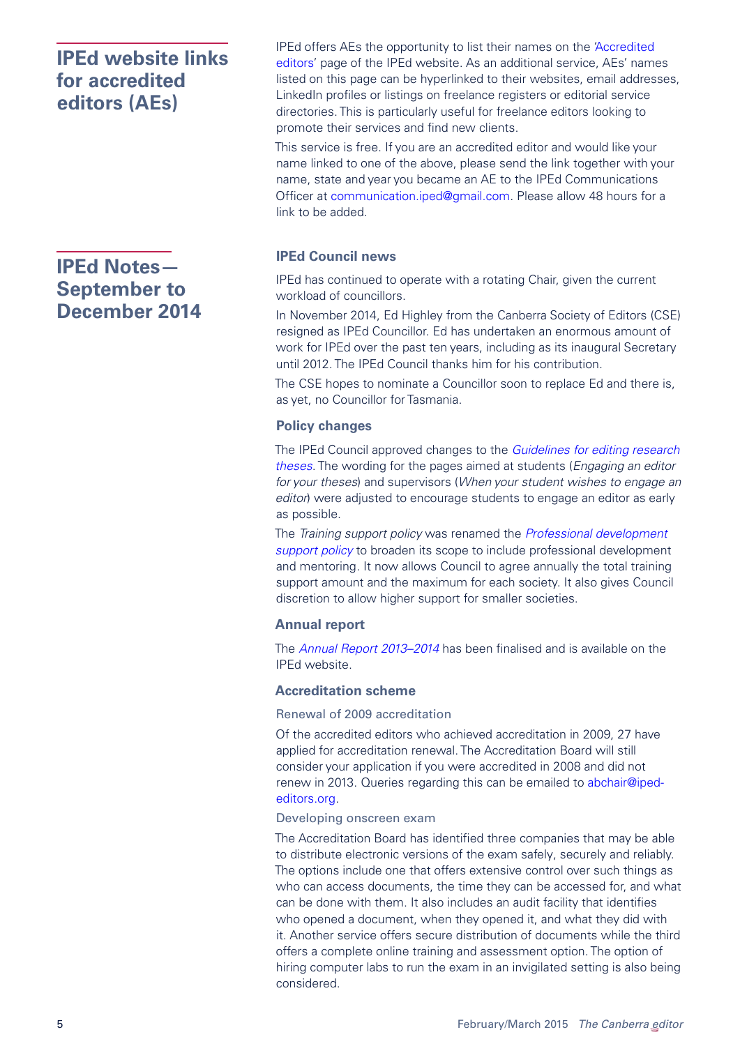# <span id="page-4-0"></span>**IPEd website links for accredited editors (AEs)**

# <span id="page-4-1"></span>**IPEd Notes— September to December 2014**

IPEd offers AEs the opportunity to list their names on the ['Accredited](http://iped-editors.org/Find_an_editor/Accredited_editors.aspx)  [editors](http://iped-editors.org/Find_an_editor/Accredited_editors.aspx)' page of the IPEd website. As an additional service, AEs' names listed on this page can be hyperlinked to their websites, email addresses, LinkedIn profiles or listings on freelance registers or editorial service directories. This is particularly useful for freelance editors looking to promote their services and find new clients.

This service is free. If you are an accredited editor and would like your name linked to one of the above, please send the link together with your name, state and year you became an AE to the IPEd Communications Officer at [communication.iped@gmail.com](mailto:communication.iped@gmail.com). Please allow 48 hours for a link to be added.

### **IPEd Council news**

IPEd has continued to operate with a rotating Chair, given the current workload of councillors.

In November 2014, Ed Highley from the Canberra Society of Editors (CSE) resigned as IPEd Councillor. Ed has undertaken an enormous amount of work for IPEd over the past ten years, including as its inaugural Secretary until 2012. The IPEd Council thanks him for his contribution.

The CSE hopes to nominate a Councillor soon to replace Ed and there is, as yet, no Councillor for Tasmania.

### **Policy changes**

The IPEd Council approved changes to the *[Guidelines for editing research](http://iped-editors.org/About_editing/Editing_theses.aspx)  [theses](http://iped-editors.org/About_editing/Editing_theses.aspx)*. The wording for the pages aimed at students (*Engaging an editor for your theses*) and supervisors (*When your student wishes to engage an editor*) were adjusted to encourage students to engage an editor as early as possible.

The *Training support policy* was renamed the *[Professional development](http://iped-editors.org/site/DefaultSite/filesystem/documents/IPEd%20PD%20support%20for%20societies%20policy.pdf)  [support policy](http://iped-editors.org/site/DefaultSite/filesystem/documents/IPEd%20PD%20support%20for%20societies%20policy.pdf)* to broaden its scope to include professional development and mentoring. It now allows Council to agree annually the total training support amount and the maximum for each society. It also gives Council discretion to allow higher support for smaller societies.

### **Annual report**

The *[Annual Report 2013–2014](http://iped-editors.org/About_IPEd/IPEd_Council/Annual_reports.aspx)* has been finalised and is available on the IPEd website.

### **Accreditation scheme**

Renewal of 2009 accreditation

Of the accredited editors who achieved accreditation in 2009, 27 have applied for accreditation renewal. The Accreditation Board will still consider your application if you were accredited in 2008 and did not renew in 2013. Queries regarding this can be emailed to [abchair@iped](mailto:iped_accred@editorsvictoria.org)[editors.org](mailto:iped_accred@editorsvictoria.org).

### Developing onscreen exam

The Accreditation Board has identified three companies that may be able to distribute electronic versions of the exam safely, securely and reliably. The options include one that offers extensive control over such things as who can access documents, the time they can be accessed for, and what can be done with them. It also includes an audit facility that identifies who opened a document, when they opened it, and what they did with it. Another service offers secure distribution of documents while the third offers a complete online training and assessment option. The option of hiring computer labs to run the exam in an invigilated setting is also being considered.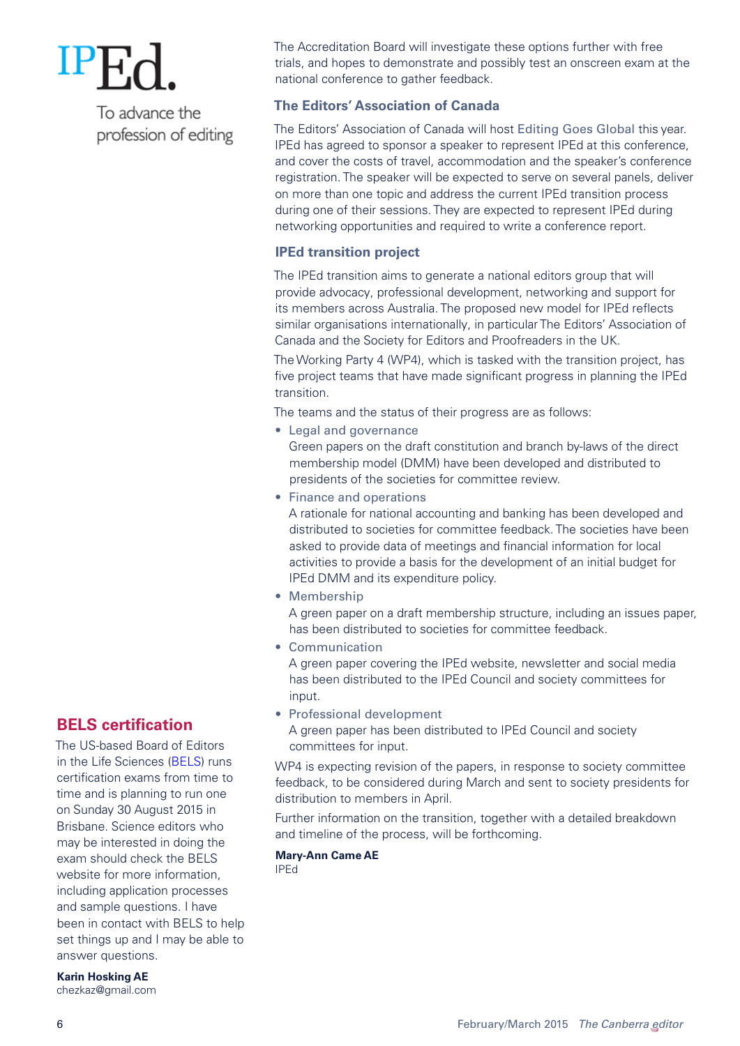To advance the profession of editing The Accreditation Board will investigate these options further with free trials, and hopes to demonstrate and possibly test an onscreen exam at the national conference to gather feedback.

### **The Editors' Association of Canada**

The Editors' Association of Canada will host Editing Goes Global this year. IPEd has agreed to sponsor a speaker to represent IPEd at this conference, and cover the costs of travel, accommodation and the speaker's conference registration. The speaker will be expected to serve on several panels, deliver on more than one topic and address the current IPEd transition process during one of their sessions. They are expected to represent IPEd during networking opportunities and required to write a conference report.

### **IPEd transition project**

The IPEd transition aims to generate a national editors group that will provide advocacy, professional development, networking and support for its members across Australia. The proposed new model for IPEd reflects similar organisations internationally, in particular The Editors' Association of Canada and the Society for Editors and Proofreaders in the UK.

The Working Party 4 (WP4), which is tasked with the transition project, has five project teams that have made significant progress in planning the IPEd transition.

The teams and the status of their progress are as follows:

**•** Legal and governance

Green papers on the draft constitution and branch by-laws of the direct membership model (DMM) have been developed and distributed to presidents of the societies for committee review.

**•** Finance and operations

A rationale for national accounting and banking has been developed and distributed to societies for committee feedback. The societies have been asked to provide data of meetings and financial information for local activities to provide a basis for the development of an initial budget for IPEd DMM and its expenditure policy.

**•** Membership

A green paper on a draft membership structure, including an issues paper, has been distributed to societies for committee feedback.

- **•** Communication A green paper covering the IPEd website, newsletter and social media has been distributed to the IPEd Council and society committees for input.
- **•** Professional development

A green paper has been distributed to IPEd Council and society committees for input.

WP4 is expecting revision of the papers, in response to society committee feedback, to be considered during March and sent to society presidents for distribution to members in April.

Further information on the transition, together with a detailed breakdown and timeline of the process, will be forthcoming.

**Mary-Ann Came AE** IPEd

# **BELS certification**

The US-based Board of Editors in the Life Sciences ([BELS\)](http://www.bels.org/) runs certification exams from time to time and is planning to run one on Sunday 30 August 2015 in Brisbane. Science editors who may be interested in doing the exam should check the BELS website for more information, including application processes and sample questions. I have been in contact with BELS to help set things up and I may be able to answer questions.

**Karin Hosking AE** [chezkaz@gmail.com](mailto:chezkaz@gmail.com)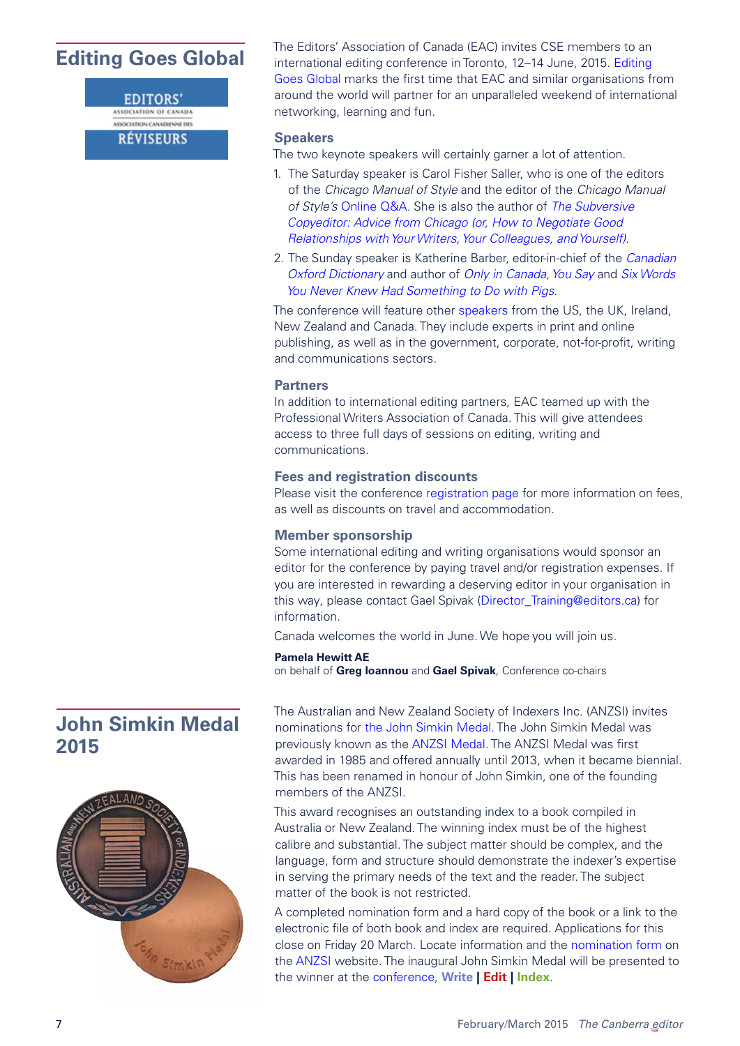**EDITORS'** ASSOCIATION OF CANADA

ASSOCIATION CANADIENNE DES

**RÉVISEURS** 

<span id="page-6-0"></span>The Editors' Association of Canada (EAC) invites CSE members to an **Editing Goes Global** international editing conference in Toronto, 12–14 June, 2015. Editing [Goes Global](http://www.editors.ca/conference/index.html) marks the first time that EAC and similar organisations from around the world will partner for an unparalleled weekend of international networking, learning and fun.

### **Speakers**

The two keynote speakers will certainly garner a lot of attention.

- 1. The Saturday speaker is Carol Fisher Saller, who is one of the editors of the *Chicago Manual of Style* and the editor of the *Chicago Manual of Style's* [Online Q&A.](http://www.chicagomanualofstyle.org/qanda/latest.html) She is also the author of *[The Subversive](http://press.uchicago.edu/ucp/books/book/chicago/S/bo6592224.html)  [Copyeditor: Advice from Chicago \(or, How to Negotiate Good](http://press.uchicago.edu/ucp/books/book/chicago/S/bo6592224.html)  [Relationships with Your Writers, Your Colleagues, and Yourself\)](http://press.uchicago.edu/ucp/books/book/chicago/S/bo6592224.html)*.
- 2. The Sunday speaker is Katherine Barber, editor-in-chief of the *[Canadian](http://www.oxfordreference.com/view/10.1093/acref/9780195418163.001.0001/acref-9780195418163)  [Oxford Dictionary](http://www.oxfordreference.com/view/10.1093/acref/9780195418163.001.0001/acref-9780195418163)* and author of *[Only in Canada, You Say](http://www.oupcanada.com/catalog/9780195429848.html)* and *[Six Words](http://www.oupcanada.com/catalog/9780195427080.html)  [You Never Knew Had Something to Do with Pigs](http://www.oupcanada.com/catalog/9780195427080.html)*.

The conference will feature other [speakers](http://www.editors.ca/conference/2015/speakers) from the US, the UK, Ireland, New Zealand and Canada. They include experts in print and online publishing, as well as in the government, corporate, not-for-profit, writing and communications sectors.

### **Partners**

In addition to international editing partners, EAC teamed up with the Professional Writers Association of Canada. This will give attendees access to three full days of sessions on editing, writing and communications.

### **Fees and registration discounts**

Please visit the conference [registration page](http://www.editors.ca/node/2772) for more information on fees, as well as discounts on travel and accommodation.

### **Member sponsorship**

Some international editing and writing organisations would sponsor an editor for the conference by paying travel and/or registration expenses. If you are interested in rewarding a deserving editor in your organisation in this way, please contact Gael Spivak ([Director\\_Training@editors.ca\)](mailto:Director_Training@editors.ca) for information.

Canada welcomes the world in June. We hope you will join us.

### **Pamela Hewitt AE**

on behalf of **Greg Ioannou** and **Gael Spivak**, Conference co-chairs

The Australian and New Zealand Society of Indexers Inc. (ANZSI) invites nominations for [the John Simkin Medal](http://www.anzsi.org/site/medal.asp). The John Simkin Medal was previously known as the [ANZSI Medal](http://www.anzsi.org/site/medal_win.asp). The ANZSI Medal was first awarded in 1985 and offered annually until 2013, when it became biennial. This has been renamed in honour of John Simkin, one of the founding members of the ANZSI.

This award recognises an outstanding index to a book compiled in Australia or New Zealand. The winning index must be of the highest calibre and substantial. The subject matter should be complex, and the language, form and structure should demonstrate the indexer's expertise in serving the primary needs of the text and the reader. The subject matter of the book is not restricted.

A completed nomination form and a hard copy of the book or a link to the electronic file of both book and index are required. Applications for this close on Friday 20 March. Locate information and the [nomination form](http://www.anzsi.org/UserFiles/file/John-Simkin-Medal-nomination-form-2015.pdf) on the [ANZSI website.](http://www.anzsi.org/site/medal.asp) The inaugural John Simkin Medal will be presented to the winner at the [conference,](http://writeeditindex.net.au/) **Write | Edit | Index**.

# <span id="page-6-1"></span>**John Simkin Medal 2015**

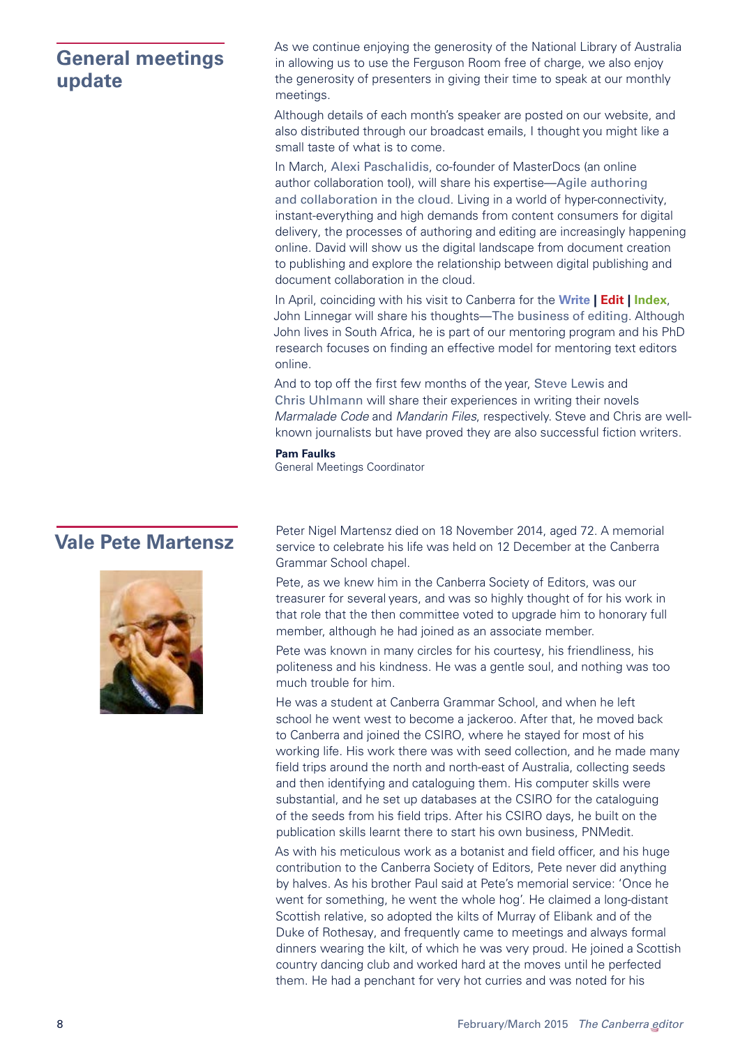# <span id="page-7-0"></span>**General meetings update**

As we continue enjoying the generosity of the National Library of Australia in allowing us to use the Ferguson Room free of charge, we also enjoy the generosity of presenters in giving their time to speak at our monthly meetings.

Although details of each month's speaker are posted on our website, and also distributed through our broadcast emails, I thought you might like a small taste of what is to come.

In March, Alexi Paschalidis, co-founder of MasterDocs (an online author collaboration tool), will share his expertise—Agile authoring and collaboration in the cloud. Living in a world of hyper-connectivity, instant-everything and high demands from content consumers for digital delivery, the processes of authoring and editing are increasingly happening online. David will show us the digital landscape from document creation to publishing and explore the relationship between digital publishing and document collaboration in the cloud.

In April, coinciding with his visit to Canberra for the **Write | Edit | Index**, John Linnegar will share his thoughts—The business of editing. Although John lives in South Africa, he is part of our mentoring program and his PhD research focuses on finding an effective model for mentoring text editors online.

And to top off the first few months of the year, Steve Lewis and Chris Uhlmann will share their experiences in writing their novels *Marmalade Code* and *Mandarin Files*, respectively. Steve and Chris are wellknown journalists but have proved they are also successful fiction writers.

### **Pam Faulks**

General Meetings Coordinator



<span id="page-7-1"></span>**Vale Pete Martensz** Peter Nigel Martensz died on 18 November 2014, aged 72. A memorial **Vale Pete Martensz** service to celebrate his life was held on 12 December at the Canberra Grammar School chapel.

> Pete, as we knew him in the Canberra Society of Editors, was our treasurer for several years, and was so highly thought of for his work in that role that the then committee voted to upgrade him to honorary full member, although he had joined as an associate member.

> Pete was known in many circles for his courtesy, his friendliness, his politeness and his kindness. He was a gentle soul, and nothing was too much trouble for him.

He was a student at Canberra Grammar School, and when he left school he went west to become a jackeroo. After that, he moved back to Canberra and joined the CSIRO, where he stayed for most of his working life. His work there was with seed collection, and he made many field trips around the north and north-east of Australia, collecting seeds and then identifying and cataloguing them. His computer skills were substantial, and he set up databases at the CSIRO for the cataloguing of the seeds from his field trips. After his CSIRO days, he built on the publication skills learnt there to start his own business, PNMedit.

As with his meticulous work as a botanist and field officer, and his huge contribution to the Canberra Society of Editors, Pete never did anything by halves. As his brother Paul said at Pete's memorial service: 'Once he went for something, he went the whole hog'. He claimed a long-distant Scottish relative, so adopted the kilts of Murray of Elibank and of the Duke of Rothesay, and frequently came to meetings and always formal dinners wearing the kilt, of which he was very proud. He joined a Scottish country dancing club and worked hard at the moves until he perfected them. He had a penchant for very hot curries and was noted for his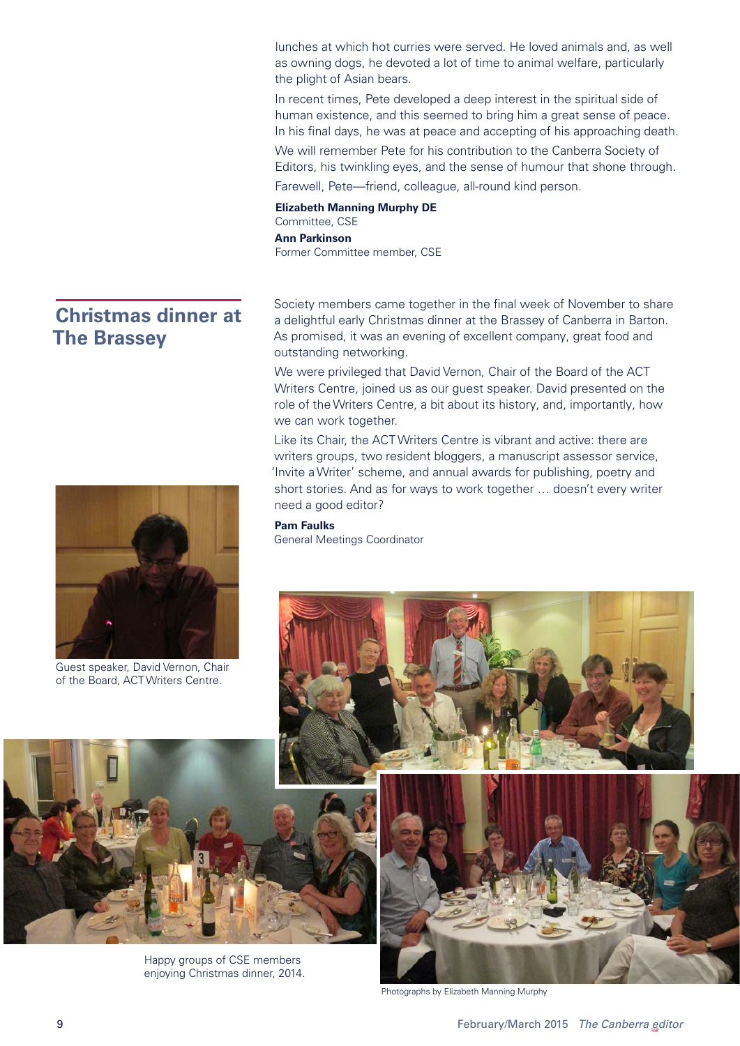lunches at which hot curries were served. He loved animals and, as well as owning dogs, he devoted a lot of time to animal welfare, particularly the plight of Asian bears.

In recent times, Pete developed a deep interest in the spiritual side of human existence, and this seemed to bring him a great sense of peace. In his final days, he was at peace and accepting of his approaching death.

We will remember Pete for his contribution to the Canberra Society of Editors, his twinkling eyes, and the sense of humour that shone through. Farewell, Pete—friend, colleague, all-round kind person.

### **Elizabeth Manning Murphy DE** Committee, CSE

**Ann Parkinson** Former Committee member, CSE

Society members came together in the final week of November to share a delightful early Christmas dinner at the Brassey of Canberra in Barton. As promised, it was an evening of excellent company, great food and outstanding networking.

We were privileged that David Vernon, Chair of the Board of the ACT Writers Centre, joined us as our guest speaker. David presented on the role of the Writers Centre, a bit about its history, and, importantly, how we can work together.

Like its Chair, the ACT Writers Centre is vibrant and active: there are writers groups, two resident bloggers, a manuscript assessor service, 'Invite a Writer' scheme, and annual awards for publishing, poetry and short stories. And as for ways to work together … doesn't every writer need a good editor?

### **Pam Faulks**

General Meetings Coordinator

Happy groups of CSE members enjoying Christmas dinner, 2014.





Photographs by Elizabeth Manning Murphy



<span id="page-8-0"></span>**Christmas dinner at** 

**The Brassey** 

Guest speaker, David Vernon, Chair of the Board, ACT Writers Centre.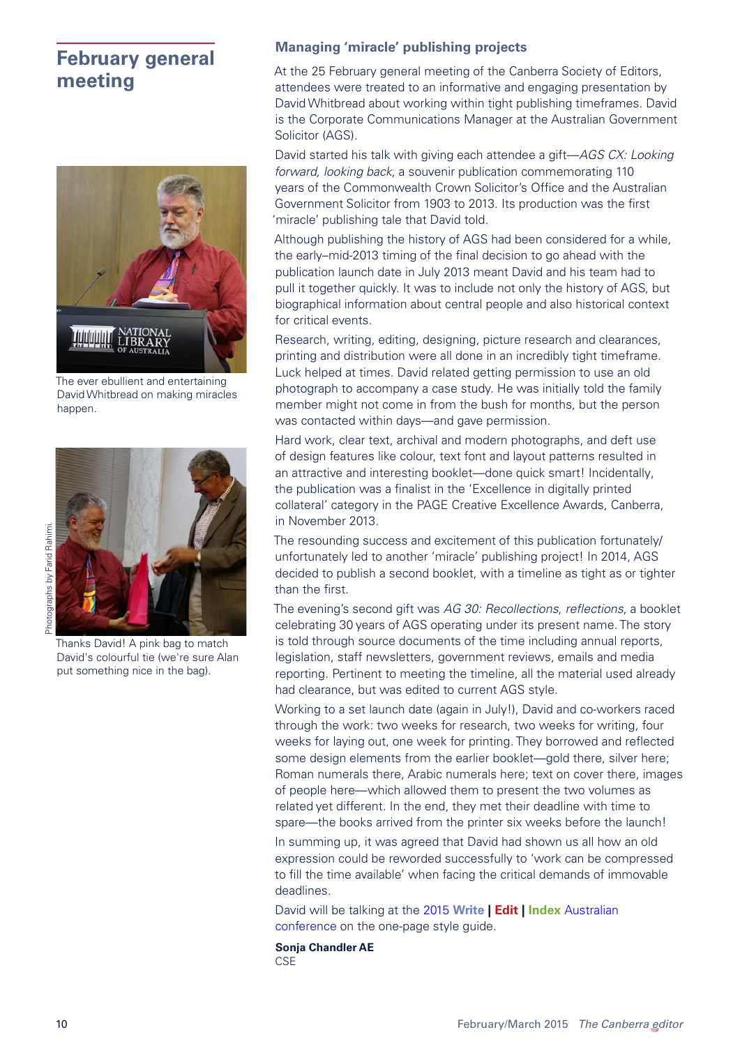# <span id="page-9-0"></span>**February general meeting**



The ever ebullient and entertaining David Whitbread on making miracles happen.



Thanks David! A pink bag to match David's colourful tie (we're sure Alan put something nice in the bag).

### **Managing 'miracle' publishing projects**

At the 25 February general meeting of the Canberra Society of Editors, attendees were treated to an informative and engaging presentation by David Whitbread about working within tight publishing timeframes. David is the Corporate Communications Manager at the Australian Government Solicitor (AGS).

David started his talk with giving each attendee a gift—*AGS CX: Looking forward, looking back*, a souvenir publication commemorating 110 years of the Commonwealth Crown Solicitor's Office and the Australian Government Solicitor from 1903 to 2013. Its production was the first 'miracle' publishing tale that David told.

Although publishing the history of AGS had been considered for a while, the early–mid-2013 timing of the final decision to go ahead with the publication launch date in July 2013 meant David and his team had to pull it together quickly. It was to include not only the history of AGS, but biographical information about central people and also historical context for critical events.

Research, writing, editing, designing, picture research and clearances, printing and distribution were all done in an incredibly tight timeframe. Luck helped at times. David related getting permission to use an old photograph to accompany a case study. He was initially told the family member might not come in from the bush for months, but the person was contacted within days—and gave permission.

Hard work, clear text, archival and modern photographs, and deft use of design features like colour, text font and layout patterns resulted in an attractive and interesting booklet—done quick smart! Incidentally, the publication was a finalist in the 'Excellence in digitally printed collateral' category in the PAGE Creative Excellence Awards, Canberra, in November 2013.

The resounding success and excitement of this publication fortunately/ unfortunately led to another 'miracle' publishing project! In 2014, AGS decided to publish a second booklet, with a timeline as tight as or tighter than the first.

The evening's second gift was *AG 30: Recollections, reflections*, a booklet celebrating 30 years of AGS operating under its present name. The story is told through source documents of the time including annual reports, legislation, staff newsletters, government reviews, emails and media reporting. Pertinent to meeting the timeline, all the material used already had clearance, but was edited to current AGS style.

Working to a set launch date (again in July!), David and co-workers raced through the work: two weeks for research, two weeks for writing, four weeks for laying out, one week for printing. They borrowed and reflected some design elements from the earlier booklet—gold there, silver here; Roman numerals there, Arabic numerals here; text on cover there, images of people here—which allowed them to present the two volumes as related yet different. In the end, they met their deadline with time to spare—the books arrived from the printer six weeks before the launch!

In summing up, it was agreed that David had shown us all how an old expression could be reworded successfully to 'work can be compressed to fill the time available' when facing the critical demands of immovable deadlines.

David will be talking at the 2015 **[Write | Edit | Index](http://writeeditindex.net.au/)** Australian [conference](http://writeeditindex.net.au/) on the one-page style guide.

**Sonja Chandler AE CSE**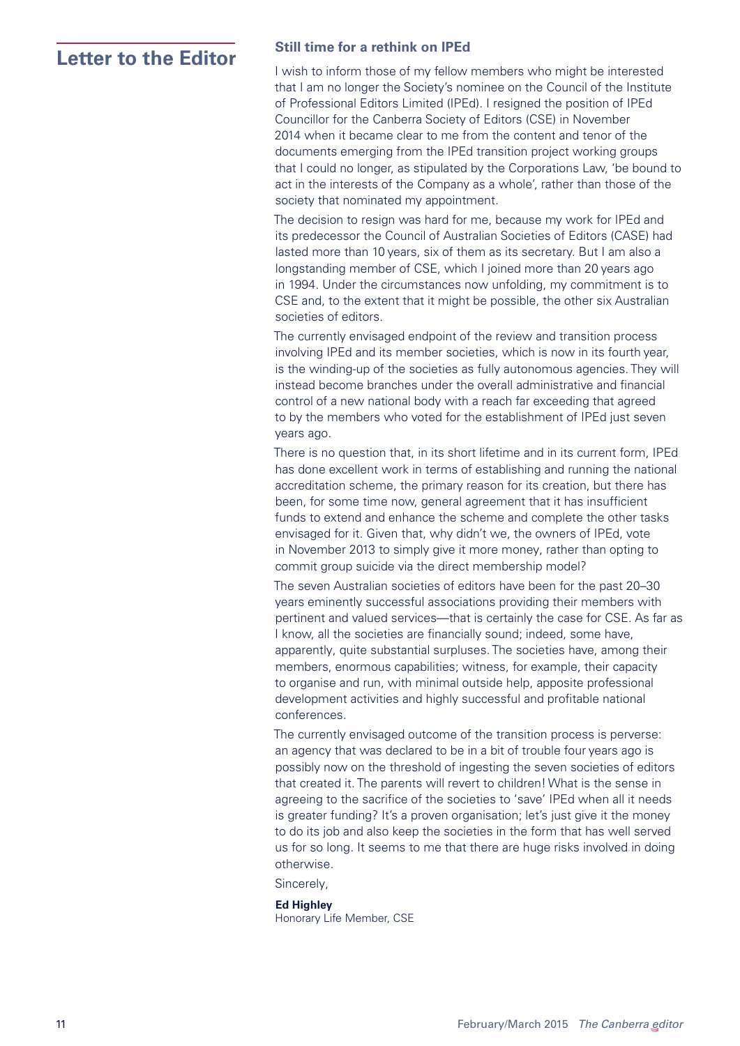# <span id="page-10-0"></span>**Letter to the Editor Still time for a rethink on IPEd**

I wish to inform those of my fellow members who might be interested that I am no longer the Society's nominee on the Council of the Institute of Professional Editors Limited (IPEd). I resigned the position of IPEd Councillor for the Canberra Society of Editors (CSE) in November 2014 when it became clear to me from the content and tenor of the documents emerging from the IPEd transition project working groups that I could no longer, as stipulated by the Corporations Law, 'be bound to act in the interests of the Company as a whole', rather than those of the society that nominated my appointment.

The decision to resign was hard for me, because my work for IPEd and its predecessor the Council of Australian Societies of Editors (CASE) had lasted more than 10 years, six of them as its secretary. But I am also a longstanding member of CSE, which I joined more than 20 years ago in 1994. Under the circumstances now unfolding, my commitment is to CSE and, to the extent that it might be possible, the other six Australian societies of editors.

The currently envisaged endpoint of the review and transition process involving IPEd and its member societies, which is now in its fourth year, is the winding-up of the societies as fully autonomous agencies. They will instead become branches under the overall administrative and financial control of a new national body with a reach far exceeding that agreed to by the members who voted for the establishment of IPEd just seven years ago.

There is no question that, in its short lifetime and in its current form, IPEd has done excellent work in terms of establishing and running the national accreditation scheme, the primary reason for its creation, but there has been, for some time now, general agreement that it has insufficient funds to extend and enhance the scheme and complete the other tasks envisaged for it. Given that, why didn't we, the owners of IPEd, vote in November 2013 to simply give it more money, rather than opting to commit group suicide via the direct membership model?

The seven Australian societies of editors have been for the past 20–30 years eminently successful associations providing their members with pertinent and valued services—that is certainly the case for CSE. As far as I know, all the societies are financially sound; indeed, some have, apparently, quite substantial surpluses. The societies have, among their members, enormous capabilities; witness, for example, their capacity to organise and run, with minimal outside help, apposite professional development activities and highly successful and profitable national conferences.

The currently envisaged outcome of the transition process is perverse: an agency that was declared to be in a bit of trouble four years ago is possibly now on the threshold of ingesting the seven societies of editors that created it. The parents will revert to children! What is the sense in agreeing to the sacrifice of the societies to 'save' IPEd when all it needs is greater funding? It's a proven organisation; let's just give it the money to do its job and also keep the societies in the form that has well served us for so long. It seems to me that there are huge risks involved in doing otherwise.

Sincerely,

### **Ed Highley**

Honorary Life Member, CSE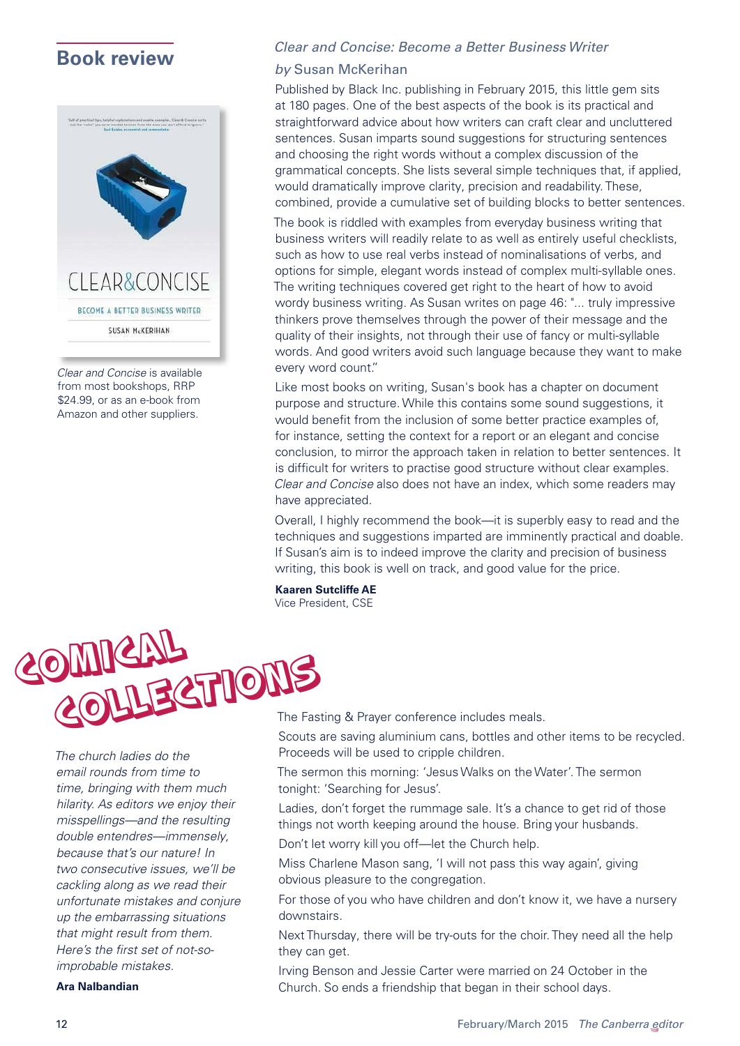# <span id="page-11-0"></span>**Book review**



*Clear and Concise* is available from most bookshops, RRP \$24.99, or as an e-book from Amazon and other suppliers.

### *Clear and Concise: Become a Better Business Writer*

### *by* Susan McKerihan

Published by Black Inc. publishing in February 2015, this little gem sits at 180 pages. One of the best aspects of the book is its practical and straightforward advice about how writers can craft clear and uncluttered sentences. Susan imparts sound suggestions for structuring sentences and choosing the right words without a complex discussion of the grammatical concepts. She lists several simple techniques that, if applied, would dramatically improve clarity, precision and readability. These, combined, provide a cumulative set of building blocks to better sentences.

The book is riddled with examples from everyday business writing that business writers will readily relate to as well as entirely useful checklists, such as how to use real verbs instead of nominalisations of verbs, and options for simple, elegant words instead of complex multi-syllable ones. The writing techniques covered get right to the heart of how to avoid wordy business writing. As Susan writes on page 46: "... truly impressive thinkers prove themselves through the power of their message and the quality of their insights, not through their use of fancy or multi-syllable words. And good writers avoid such language because they want to make every word count."

Like most books on writing, Susan's book has a chapter on document purpose and structure. While this contains some sound suggestions, it would benefit from the inclusion of some better practice examples of, for instance, setting the context for a report or an elegant and concise conclusion, to mirror the approach taken in relation to better sentences. It is difficult for writers to practise good structure without clear examples. *Clear and Concise* also does not have an index, which some readers may have appreciated.

Overall, I highly recommend the book—it is superbly easy to read and the techniques and suggestions imparted are imminently practical and doable. If Susan's aim is to indeed improve the clarity and precision of business writing, this book is well on track, and good value for the price.

### **Kaaren Sutcliffe AE**

Vice President, CSE



*The church ladies do the email rounds from time to time, bringing with them much hilarity. As editors we enjoy their misspellings—and the resulting double entendres—immensely, because that's our nature! In two consecutive issues, we'll be cackling along as we read their unfortunate mistakes and conjure up the embarrassing situations that might result from them. Here's the first set of not-soimprobable mistakes.*

### **Ara Nalbandian**

Scouts are saving aluminium cans, bottles and other items to be recycled. Proceeds will be used to cripple children.

The sermon this morning: 'Jesus Walks on the Water'. The sermon tonight: 'Searching for Jesus'.

Ladies, don't forget the rummage sale. It's a chance to get rid of those things not worth keeping around the house. Bring your husbands. Don't let worry kill you off—let the Church help.

Miss Charlene Mason sang, 'I will not pass this way again', giving obvious pleasure to the congregation.

For those of you who have children and don't know it, we have a nursery downstairs.

Next Thursday, there will be try-outs for the choir. They need all the help they can get.

Irving Benson and Jessie Carter were married on 24 October in the Church. So ends a friendship that began in their school days.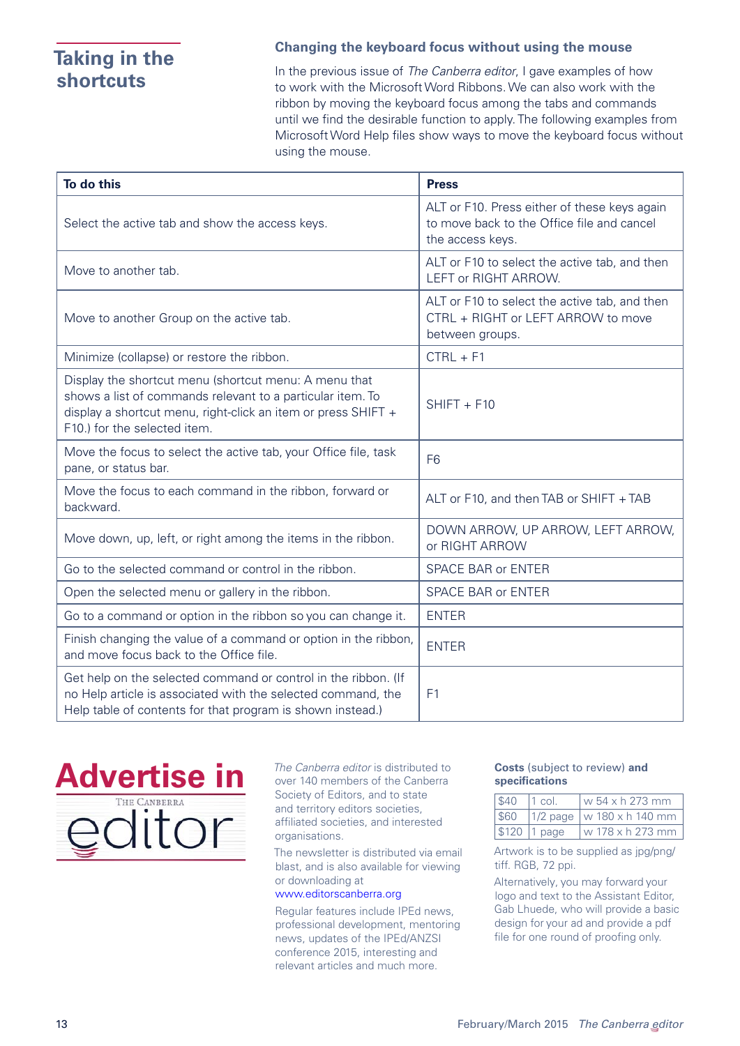# <span id="page-12-0"></span>**Taking in the shortcuts**

### **Changing the keyboard focus without using the mouse**

In the previous issue of *The Canberra editor*, I gave examples of how to work with the Microsoft Word Ribbons. We can also work with the ribbon by moving the keyboard focus among the tabs and commands until we find the desirable function to apply. The following examples from Microsoft Word Help files show ways to move the keyboard focus without using the mouse.

| To do this                                                                                                                                                                                                           | <b>Press</b>                                                                                                   |
|----------------------------------------------------------------------------------------------------------------------------------------------------------------------------------------------------------------------|----------------------------------------------------------------------------------------------------------------|
| Select the active tab and show the access keys.                                                                                                                                                                      | ALT or F10. Press either of these keys again<br>to move back to the Office file and cancel<br>the access keys. |
| Move to another tab.                                                                                                                                                                                                 | ALT or F10 to select the active tab, and then<br>LEFT or RIGHT ARROW.                                          |
| Move to another Group on the active tab.                                                                                                                                                                             | ALT or F10 to select the active tab, and then<br>CTRL + RIGHT or LEFT ARROW to move<br>between groups.         |
| Minimize (collapse) or restore the ribbon.                                                                                                                                                                           | $CTRL + F1$                                                                                                    |
| Display the shortcut menu (shortcut menu: A menu that<br>shows a list of commands relevant to a particular item. To<br>display a shortcut menu, right-click an item or press SHIFT +<br>F10.) for the selected item. | $SHIFT + F10$                                                                                                  |
| Move the focus to select the active tab, your Office file, task<br>pane, or status bar.                                                                                                                              | F <sub>6</sub>                                                                                                 |
| Move the focus to each command in the ribbon, forward or<br>backward.                                                                                                                                                | ALT or F10, and then TAB or SHIFT + TAB                                                                        |
| Move down, up, left, or right among the items in the ribbon.                                                                                                                                                         | DOWN ARROW, UP ARROW, LEFT ARROW,<br>or RIGHT ARROW                                                            |
| Go to the selected command or control in the ribbon.                                                                                                                                                                 | <b>SPACE BAR or ENTER</b>                                                                                      |
| Open the selected menu or gallery in the ribbon.                                                                                                                                                                     | <b>SPACE BAR or ENTER</b>                                                                                      |
| Go to a command or option in the ribbon so you can change it.                                                                                                                                                        | <b>ENTER</b>                                                                                                   |
| Finish changing the value of a command or option in the ribbon,<br>and move focus back to the Office file.                                                                                                           | <b>ENTER</b>                                                                                                   |
| Get help on the selected command or control in the ribbon. (If<br>no Help article is associated with the selected command, the<br>Help table of contents for that program is shown instead.)                         | F <sub>1</sub>                                                                                                 |



over 140 members of the Canberra Society of Editors, and to state and territory editors societies, affiliated societies, and interested organisations.

The newsletter is distributed via email blast, and is also available for viewing or downloading at

### [www.editorscanberra.org](http://www.editorscanberra.org)

Regular features include IPEd news, professional development, mentoring news, updates of the IPEd/ANZSI conference 2015, interesting and relevant articles and much more.

### **Costs** (subject to review) **and specifications**

| $\sqrt{\$40}$ | $\vert$ 1 col. | $\sqrt{64 \times h}$ 273 mm   |
|---------------|----------------|-------------------------------|
| 560           |                | $1/2$ page   w 180 x h 140 mm |
|               | $$120$  1 page | w 178 x h 273 mm              |

Artwork is to be supplied as jpg/png/ tiff. RGB, 72 ppi.

Alternatively, you may forward your logo and text to the Assistant Editor, Gab Lhuede, who will provide a basic design for your ad and provide a pdf file for one round of proofing only.